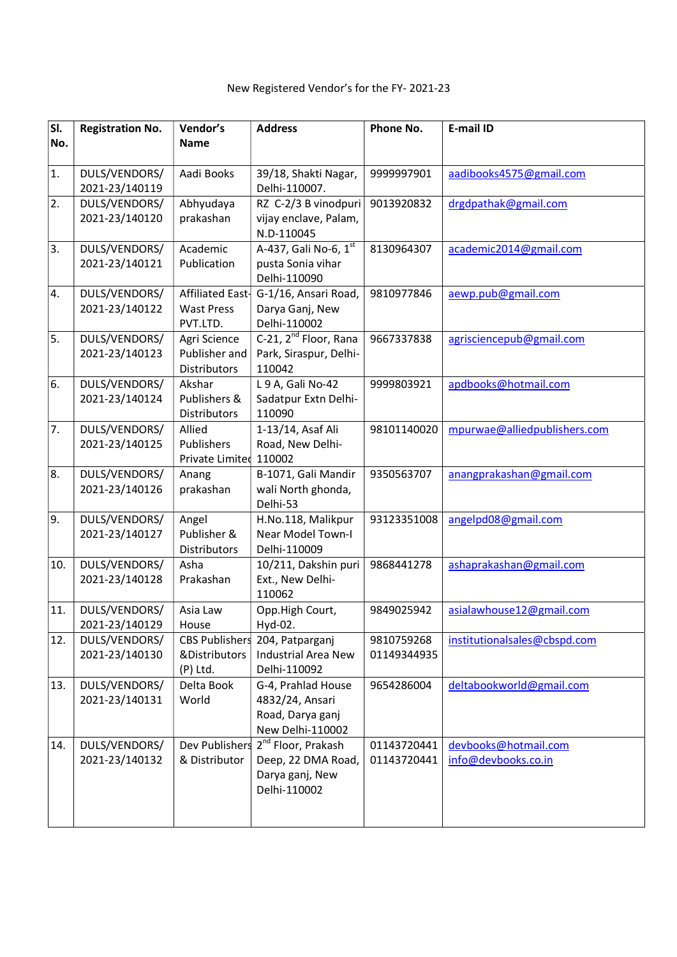| SI. | <b>Registration No.</b>         | Vendor's                      | <b>Address</b>                      | Phone No.   | E-mail ID                    |
|-----|---------------------------------|-------------------------------|-------------------------------------|-------------|------------------------------|
| No. |                                 | <b>Name</b>                   |                                     |             |                              |
| 1.  | DULS/VENDORS/                   | Aadi Books                    | 39/18, Shakti Nagar,                | 9999997901  | aadibooks4575@gmail.com      |
|     | 2021-23/140119                  |                               | Delhi-110007.                       |             |                              |
| 2.  | DULS/VENDORS/                   | Abhyudaya                     | RZ C-2/3 B vinodpuri                | 9013920832  | drgdpathak@gmail.com         |
|     | 2021-23/140120                  | prakashan                     | vijay enclave, Palam,<br>N.D-110045 |             |                              |
| 3.  | DULS/VENDORS/                   | Academic                      | A-437, Gali No-6, 1st               | 8130964307  | academic2014@gmail.com       |
|     | 2021-23/140121                  | Publication                   | pusta Sonia vihar                   |             |                              |
|     |                                 |                               | Delhi-110090                        |             |                              |
| 4.  | DULS/VENDORS/                   | Affiliated East-              | G-1/16, Ansari Road,                | 9810977846  | aewp.pub@gmail.com           |
|     | 2021-23/140122                  | <b>Wast Press</b>             | Darya Ganj, New                     |             |                              |
|     |                                 | PVT.LTD.                      | Delhi-110002                        |             |                              |
| 5.  | DULS/VENDORS/<br>2021-23/140123 | Agri Science                  | C-21, 2 <sup>nd</sup> Floor, Rana   | 9667337838  | agrisciencepub@gmail.com     |
|     |                                 | Publisher and<br>Distributors | Park, Siraspur, Delhi-<br>110042    |             |                              |
| 6.  | DULS/VENDORS/                   | Akshar                        | L 9 A, Gali No-42                   | 9999803921  | apdbooks@hotmail.com         |
|     | 2021-23/140124                  | Publishers &                  | Sadatpur Extn Delhi-                |             |                              |
|     |                                 | Distributors                  | 110090                              |             |                              |
| 7.  | DULS/VENDORS/                   | Allied                        | 1-13/14, Asaf Ali                   | 98101140020 | mpurwae@alliedpublishers.com |
|     | 2021-23/140125                  | Publishers                    | Road, New Delhi-                    |             |                              |
|     |                                 | Private Limited 110002        |                                     |             |                              |
| 8.  | DULS/VENDORS/                   | Anang                         | B-1071, Gali Mandir                 | 9350563707  | anangprakashan@gmail.com     |
|     | 2021-23/140126                  | prakashan                     | wali North ghonda,                  |             |                              |
|     |                                 |                               | Delhi-53                            |             |                              |
| 9.  | DULS/VENDORS/                   | Angel                         | H.No.118, Malikpur                  | 93123351008 | angelpd08@gmail.com          |
|     | 2021-23/140127                  | Publisher &                   | <b>Near Model Town-I</b>            |             |                              |
|     |                                 | Distributors                  | Delhi-110009                        |             |                              |
| 10. | DULS/VENDORS/                   | Asha                          | 10/211, Dakshin puri                | 9868441278  | ashaprakashan@gmail.com      |
|     | 2021-23/140128                  | Prakashan                     | Ext., New Delhi-<br>110062          |             |                              |
| 11. | DULS/VENDORS/                   | Asia Law                      | Opp.High Court,                     | 9849025942  | asialawhouse12@gmail.com     |
|     | 2021-23/140129                  | House                         | Hyd-02.                             |             |                              |
| 12. | DULS/VENDORS/                   |                               | CBS Publishers 204, Patparganj      | 9810759268  | institutionalsales@cbspd.com |
|     | 2021-23/140130                  | &Distributors                 | <b>Industrial Area New</b>          | 01149344935 |                              |
|     |                                 | (P) Ltd.                      | Delhi-110092                        |             |                              |
| 13. | DULS/VENDORS/                   | Delta Book                    | G-4, Prahlad House                  | 9654286004  | deltabookworld@gmail.com     |
|     | 2021-23/140131                  | World                         | 4832/24, Ansari                     |             |                              |
|     |                                 |                               | Road, Darya ganj                    |             |                              |
|     |                                 |                               | New Delhi-110002                    |             |                              |
| 14. | DULS/VENDORS/                   | Dev Publishers                | 2 <sup>nd</sup> Floor, Prakash      | 01143720441 | devbooks@hotmail.com         |
|     | 2021-23/140132                  | & Distributor                 | Deep, 22 DMA Road,                  | 01143720441 | info@devbooks.co.in          |
|     |                                 |                               | Darya ganj, New                     |             |                              |
|     |                                 |                               | Delhi-110002                        |             |                              |
|     |                                 |                               |                                     |             |                              |
|     |                                 |                               |                                     |             |                              |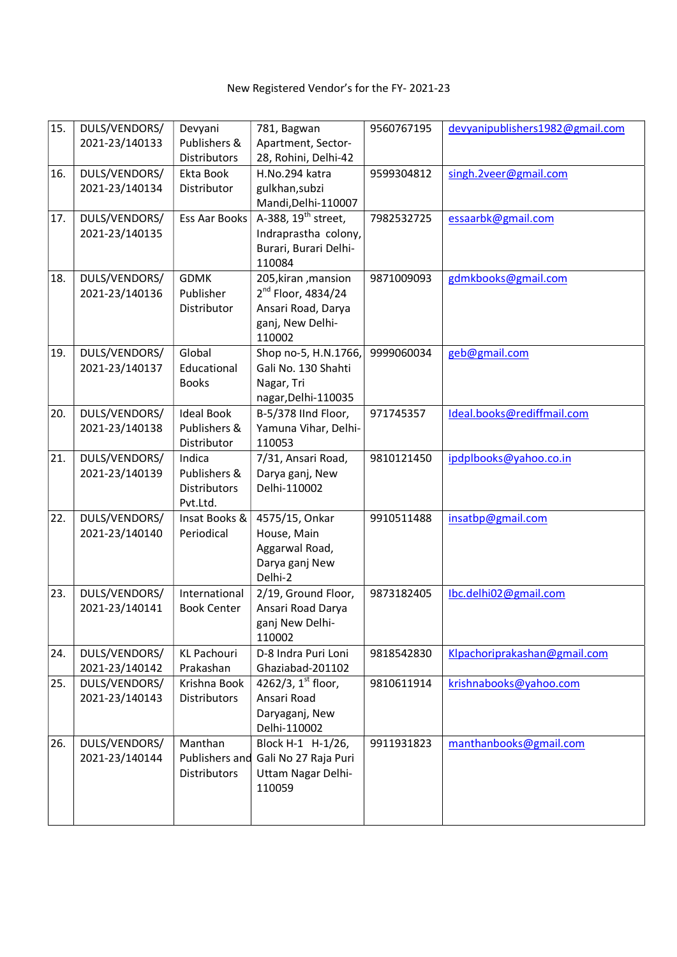| 15. | DULS/VENDORS/                   | Devyani                      | 781, Bagwan                                 | 9560767195 | devyanipublishers1982@gmail.com |
|-----|---------------------------------|------------------------------|---------------------------------------------|------------|---------------------------------|
|     | 2021-23/140133                  | Publishers &<br>Distributors | Apartment, Sector-                          |            |                                 |
| 16. | DULS/VENDORS/                   | Ekta Book                    | 28, Rohini, Delhi-42<br>H.No.294 katra      | 9599304812 | singh.2veer@gmail.com           |
|     | 2021-23/140134                  | Distributor                  | gulkhan, subzi                              |            |                                 |
|     |                                 |                              | Mandi, Delhi-110007                         |            |                                 |
| 17. | DULS/VENDORS/                   | Ess Aar Books                | A-388, 19 <sup>th</sup> street,             | 7982532725 | essaarbk@gmail.com              |
|     | 2021-23/140135                  |                              | Indraprastha colony,                        |            |                                 |
|     |                                 |                              | Burari, Burari Delhi-                       |            |                                 |
|     |                                 |                              | 110084                                      |            |                                 |
| 18. | DULS/VENDORS/                   | <b>GDMK</b>                  | 205, kiran, mansion                         | 9871009093 | gdmkbooks@gmail.com             |
|     | 2021-23/140136                  | Publisher                    | $2^{nd}$ Floor, 4834/24                     |            |                                 |
|     |                                 | Distributor                  | Ansari Road, Darya                          |            |                                 |
|     |                                 |                              | ganj, New Delhi-                            |            |                                 |
|     |                                 |                              | 110002                                      |            |                                 |
| 19. | DULS/VENDORS/<br>2021-23/140137 | Global<br>Educational        | Shop no-5, H.N.1766,<br>Gali No. 130 Shahti | 9999060034 | geb@gmail.com                   |
|     |                                 | <b>Books</b>                 | Nagar, Tri                                  |            |                                 |
|     |                                 |                              | nagar, Delhi-110035                         |            |                                 |
| 20. | DULS/VENDORS/                   | <b>Ideal Book</b>            | B-5/378 IInd Floor,                         | 971745357  | Ideal.books@rediffmail.com      |
|     | 2021-23/140138                  | Publishers &                 | Yamuna Vihar, Delhi-                        |            |                                 |
|     |                                 | Distributor                  | 110053                                      |            |                                 |
| 21. | DULS/VENDORS/                   | Indica                       | 7/31, Ansari Road,                          | 9810121450 | ipdplbooks@yahoo.co.in          |
|     | 2021-23/140139                  | Publishers &                 | Darya ganj, New                             |            |                                 |
|     |                                 | Distributors                 | Delhi-110002                                |            |                                 |
|     |                                 | Pvt.Ltd.                     |                                             |            |                                 |
| 22. | DULS/VENDORS/                   | Insat Books &                | 4575/15, Onkar                              | 9910511488 | insatbp@gmail.com               |
|     | 2021-23/140140                  | Periodical                   | House, Main                                 |            |                                 |
|     |                                 |                              | Aggarwal Road,                              |            |                                 |
|     |                                 |                              | Darya ganj New<br>Delhi-2                   |            |                                 |
| 23. | DULS/VENDORS/                   | International                | 2/19, Ground Floor,                         | 9873182405 | Ibc.delhi02@gmail.com           |
|     | 2021-23/140141                  | <b>Book Center</b>           | Ansari Road Darya                           |            |                                 |
|     |                                 |                              | ganj New Delhi-                             |            |                                 |
|     |                                 |                              | 110002                                      |            |                                 |
| 24. | DULS/VENDORS/                   | <b>KL Pachouri</b>           | D-8 Indra Puri Loni                         | 9818542830 | Klpachoriprakashan@gmail.com    |
|     | 2021-23/140142                  | Prakashan                    | Ghaziabad-201102                            |            |                                 |
| 25. | DULS/VENDORS/                   | Krishna Book                 | 4262/3, $1^{st}$ floor,                     | 9810611914 | krishnabooks@yahoo.com          |
|     | 2021-23/140143                  | <b>Distributors</b>          | Ansari Road                                 |            |                                 |
|     |                                 |                              | Daryaganj, New                              |            |                                 |
|     |                                 |                              | Delhi-110002                                |            |                                 |
| 26. | DULS/VENDORS/<br>2021-23/140144 | Manthan<br>Publishers and    | Block H-1 H-1/26,<br>Gali No 27 Raja Puri   | 9911931823 | manthanbooks@gmail.com          |
|     |                                 | <b>Distributors</b>          | Uttam Nagar Delhi-                          |            |                                 |
|     |                                 |                              | 110059                                      |            |                                 |
|     |                                 |                              |                                             |            |                                 |
|     |                                 |                              |                                             |            |                                 |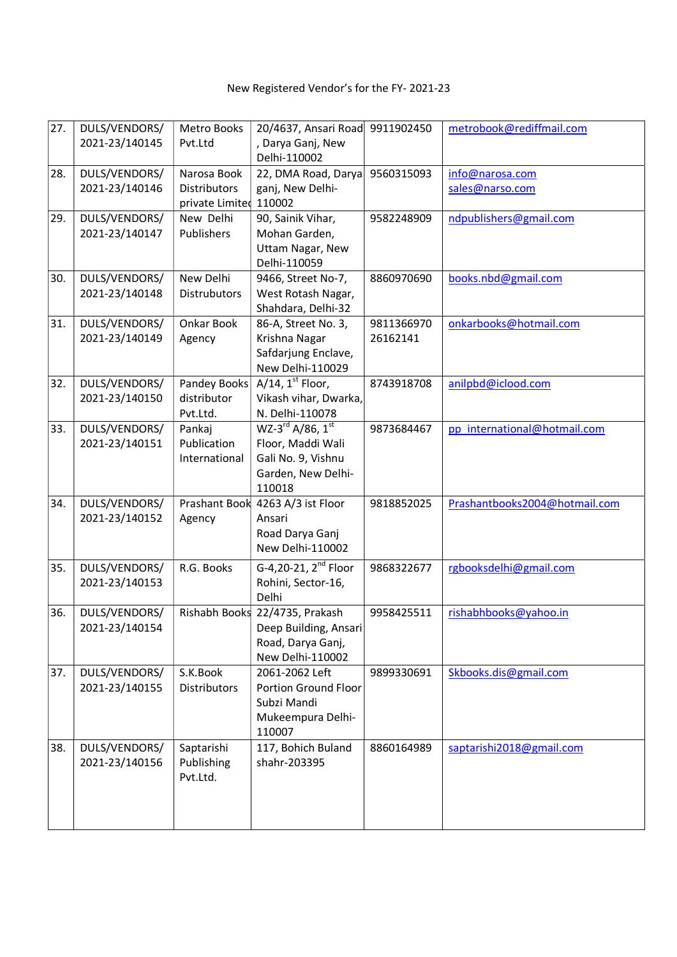| 27. | DULS/VENDORS/  | Metro Books     | 20/4637, Ansari Road             | 9911902450 | metrobook@rediffmail.com      |
|-----|----------------|-----------------|----------------------------------|------------|-------------------------------|
|     |                |                 |                                  |            |                               |
|     | 2021-23/140145 | Pvt.Ltd         | , Darya Ganj, New                |            |                               |
|     |                |                 | Delhi-110002                     |            |                               |
| 28. | DULS/VENDORS/  | Narosa Book     | 22, DMA Road, Darya              | 9560315093 | info@narosa.com               |
|     | 2021-23/140146 | Distributors    | ganj, New Delhi-                 |            | sales@narso.com               |
|     |                | private Limited | 110002                           |            |                               |
| 29. | DULS/VENDORS/  | New Delhi       | 90, Sainik Vihar,                | 9582248909 | ndpublishers@gmail.com        |
|     | 2021-23/140147 | Publishers      | Mohan Garden,                    |            |                               |
|     |                |                 | Uttam Nagar, New                 |            |                               |
|     |                |                 | Delhi-110059                     |            |                               |
| 30. | DULS/VENDORS/  | New Delhi       | 9466, Street No-7,               | 8860970690 | books.nbd@gmail.com           |
|     | 2021-23/140148 | Distrubutors    | West Rotash Nagar,               |            |                               |
|     |                |                 | Shahdara, Delhi-32               |            |                               |
| 31. | DULS/VENDORS/  | Onkar Book      | 86-A, Street No. 3,              | 9811366970 | onkarbooks@hotmail.com        |
|     | 2021-23/140149 | Agency          | Krishna Nagar                    | 26162141   |                               |
|     |                |                 | Safdarjung Enclave,              |            |                               |
|     |                |                 | New Delhi-110029                 |            |                               |
| 32. | DULS/VENDORS/  | Pandey Books    | $A/14$ , $1st$ Floor,            | 8743918708 | anilpbd@iclood.com            |
|     | 2021-23/140150 | distributor     | Vikash vihar, Dwarka,            |            |                               |
|     |                | Pvt.Ltd.        | N. Delhi-110078                  |            |                               |
| 33. | DULS/VENDORS/  | Pankaj          | $WZ-3^{rd}$ A/86, $1^{st}$       | 9873684467 | pp_international@hotmail.com  |
|     | 2021-23/140151 | Publication     | Floor, Maddi Wali                |            |                               |
|     |                | International   | Gali No. 9, Vishnu               |            |                               |
|     |                |                 | Garden, New Delhi-               |            |                               |
|     |                |                 | 110018                           |            |                               |
| 34. | DULS/VENDORS/  | Prashant Book   | 4263 A/3 ist Floor               | 9818852025 | Prashantbooks2004@hotmail.com |
|     | 2021-23/140152 | Agency          | Ansari                           |            |                               |
|     |                |                 | Road Darya Ganj                  |            |                               |
|     |                |                 | New Delhi-110002                 |            |                               |
|     |                |                 |                                  |            |                               |
| 35. | DULS/VENDORS/  | R.G. Books      | G-4,20-21, 2 <sup>nd</sup> Floor | 9868322677 | rgbooksdelhi@gmail.com        |
|     | 2021-23/140153 |                 | Rohini, Sector-16,               |            |                               |
|     |                |                 | Delhi                            |            |                               |
| 36. | DULS/VENDORS/  |                 | Rishabh Books 22/4735, Prakash   | 9958425511 | rishabhbooks@yahoo.in         |
|     | 2021-23/140154 |                 | Deep Building, Ansari            |            |                               |
|     |                |                 | Road, Darya Ganj,                |            |                               |
|     |                |                 | New Delhi-110002                 |            |                               |
| 37. | DULS/VENDORS/  | S.K.Book        | 2061-2062 Left                   | 9899330691 | Skbooks.dis@gmail.com         |
|     | 2021-23/140155 | Distributors    | Portion Ground Floor             |            |                               |
|     |                |                 | Subzi Mandi                      |            |                               |
|     |                |                 | Mukeempura Delhi-                |            |                               |
|     |                |                 | 110007                           |            |                               |
| 38. | DULS/VENDORS/  | Saptarishi      | 117, Bohich Buland               | 8860164989 | saptarishi2018@gmail.com      |
|     | 2021-23/140156 | Publishing      | shahr-203395                     |            |                               |
|     |                | Pvt.Ltd.        |                                  |            |                               |
|     |                |                 |                                  |            |                               |
|     |                |                 |                                  |            |                               |
|     |                |                 |                                  |            |                               |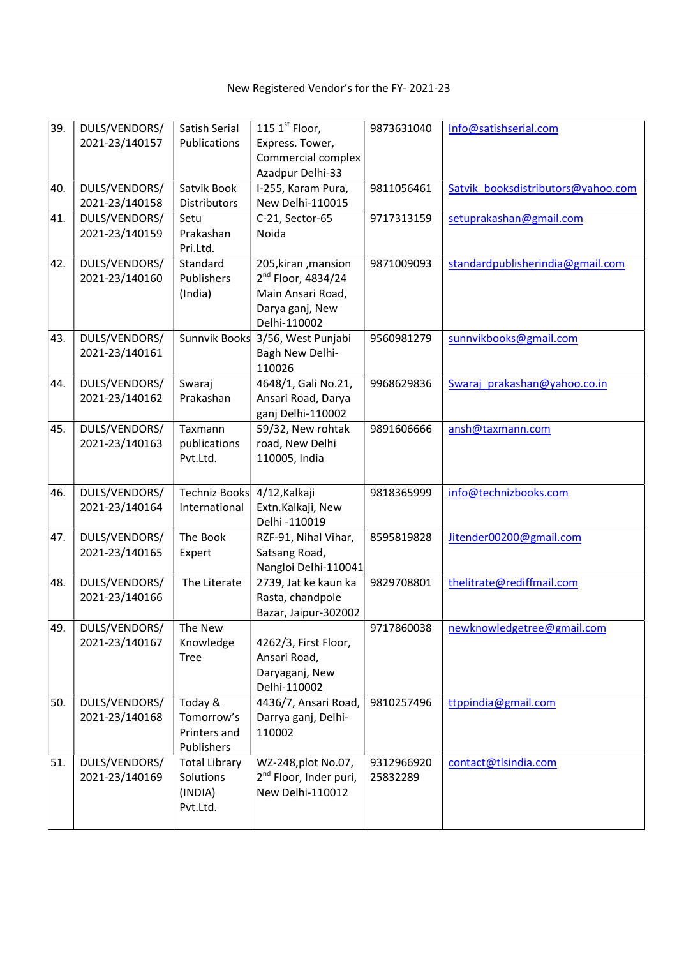| 39. | DULS/VENDORS/  | Satish Serial                     | 115 $1st$ Floor,                                          | 9873631040             | Info@satishserial.com              |
|-----|----------------|-----------------------------------|-----------------------------------------------------------|------------------------|------------------------------------|
|     | 2021-23/140157 | Publications                      | Express. Tower,                                           |                        |                                    |
|     |                |                                   | Commercial complex                                        |                        |                                    |
|     |                |                                   | Azadpur Delhi-33                                          |                        |                                    |
| 40. | DULS/VENDORS/  | Satvik Book                       | I-255, Karam Pura,                                        | 9811056461             | Satvik booksdistributors@yahoo.com |
|     | 2021-23/140158 | Distributors                      | New Delhi-110015                                          |                        |                                    |
| 41. | DULS/VENDORS/  | Setu                              | C-21, Sector-65                                           | 9717313159             | setuprakashan@gmail.com            |
|     | 2021-23/140159 | Prakashan                         | Noida                                                     |                        |                                    |
| 42. | DULS/VENDORS/  | Pri.Ltd.<br>Standard              | 205, kiran, mansion                                       | 9871009093             | standardpublisherindia@gmail.com   |
|     | 2021-23/140160 | Publishers                        | $2nd$ Floor, 4834/24                                      |                        |                                    |
|     |                | (India)                           | Main Ansari Road,                                         |                        |                                    |
|     |                |                                   | Darya ganj, New                                           |                        |                                    |
|     |                |                                   | Delhi-110002                                              |                        |                                    |
| 43. | DULS/VENDORS/  | Sunnvik Books                     | 3/56, West Punjabi                                        | 9560981279             | sunnvikbooks@gmail.com             |
|     | 2021-23/140161 |                                   | Bagh New Delhi-                                           |                        |                                    |
|     |                |                                   | 110026                                                    |                        |                                    |
| 44. | DULS/VENDORS/  | Swaraj                            | 4648/1, Gali No.21,                                       | 9968629836             | Swaraj prakashan@yahoo.co.in       |
|     | 2021-23/140162 | Prakashan                         | Ansari Road, Darya                                        |                        |                                    |
|     |                |                                   | ganj Delhi-110002                                         |                        |                                    |
| 45. | DULS/VENDORS/  | Taxmann                           | 59/32, New rohtak                                         | 9891606666             | ansh@taxmann.com                   |
|     | 2021-23/140163 | publications                      | road, New Delhi                                           |                        |                                    |
|     |                | Pvt.Ltd.                          | 110005, India                                             |                        |                                    |
|     |                |                                   |                                                           |                        |                                    |
| 46. | DULS/VENDORS/  | Techniz Books                     | 4/12, Kalkaji                                             | 9818365999             | info@technizbooks.com              |
|     | 2021-23/140164 | International                     | Extn.Kalkaji, New                                         |                        |                                    |
| 47. | DULS/VENDORS/  | The Book                          | Delhi -110019<br>RZF-91, Nihal Vihar,                     | 8595819828             |                                    |
|     | 2021-23/140165 | Expert                            | Satsang Road,                                             |                        | Jitender00200@gmail.com            |
|     |                |                                   | Nangloi Delhi-110041                                      |                        |                                    |
| 48. | DULS/VENDORS/  | The Literate                      | 2739, Jat ke kaun ka                                      | 9829708801             | thelitrate@rediffmail.com          |
|     | 2021-23/140166 |                                   | Rasta, chandpole                                          |                        |                                    |
|     |                |                                   | Bazar, Jaipur-302002                                      |                        |                                    |
| 49. | DULS/VENDORS/  | The New                           |                                                           | 9717860038             | newknowledgetree@gmail.com         |
|     | 2021-23/140167 | Knowledge                         | 4262/3, First Floor,                                      |                        |                                    |
|     |                | <b>Tree</b>                       | Ansari Road,                                              |                        |                                    |
|     |                |                                   | Daryaganj, New                                            |                        |                                    |
|     |                |                                   | Delhi-110002                                              |                        |                                    |
| 50. | DULS/VENDORS/  | Today &                           | 4436/7, Ansari Road,                                      | 9810257496             | ttppindia@gmail.com                |
|     | 2021-23/140168 | Tomorrow's                        | Darrya ganj, Delhi-                                       |                        |                                    |
|     |                | Printers and                      | 110002                                                    |                        |                                    |
| 51. | DULS/VENDORS/  | Publishers                        |                                                           |                        |                                    |
|     | 2021-23/140169 | <b>Total Library</b><br>Solutions | WZ-248, plot No.07,<br>2 <sup>nd</sup> Floor, Inder puri, | 9312966920<br>25832289 | contact@tlsindia.com               |
|     |                | (INDIA)                           | New Delhi-110012                                          |                        |                                    |
|     |                | Pvt.Ltd.                          |                                                           |                        |                                    |
|     |                |                                   |                                                           |                        |                                    |